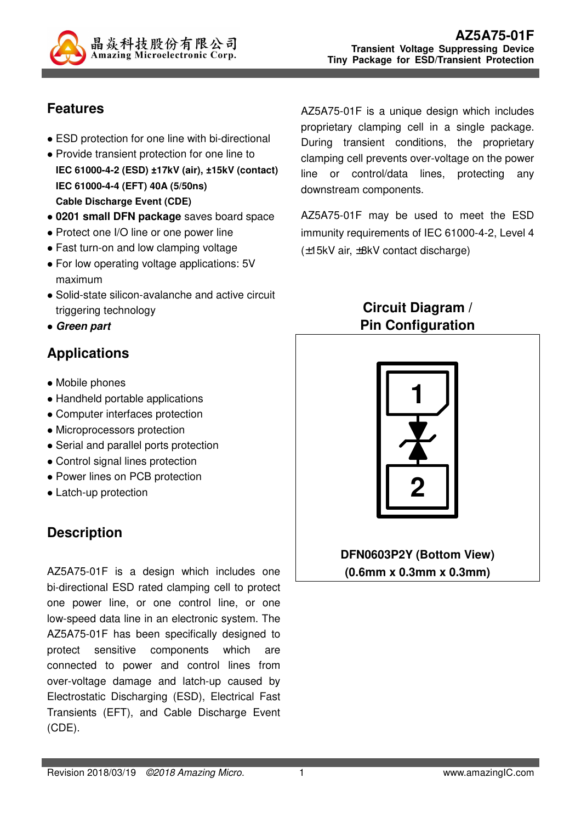

# **Features**

- ESD protection for one line with bi-directional
- Provide transient protection for one line to **IEC 61000-4-2 (ESD) ±17kV (air), ±15kV (contact) IEC 61000-4-4 (EFT) 40A (5/50ns) Cable Discharge Event (CDE)**
- **0201 small DFN package** saves board space
- Protect one I/O line or one power line
- Fast turn-on and low clamping voltage
- For low operating voltage applications: 5V maximum
- Solid-state silicon-avalanche and active circuit triggering technology
- **Green part**

# **Applications**

- Mobile phones
- Handheld portable applications
- Computer interfaces protection
- Microprocessors protection
- Serial and parallel ports protection
- Control signal lines protection
- Power lines on PCB protection
- Latch-up protection

# **Description**

AZ5A75-01F is a design which includes one bi-directional ESD rated clamping cell to protect one power line, or one control line, or one low-speed data line in an electronic system. The AZ5A75-01F has been specifically designed to protect sensitive components which are connected to power and control lines from over-voltage damage and latch-up caused by Electrostatic Discharging (ESD), Electrical Fast Transients (EFT), and Cable Discharge Event (CDE).

AZ5A75-01F is a unique design which includes proprietary clamping cell in a single package. During transient conditions, the proprietary clamping cell prevents over-voltage on the power line or control/data lines, protecting any downstream components.

AZ5A75-01F may be used to meet the ESD immunity requirements of IEC 61000-4-2, Level 4 (±15kV air, ±8kV contact discharge)

## **Circuit Diagram / Pin Configuration**



**DFN0603P2Y (Bottom View) (0.6mm x 0.3mm x 0.3mm)**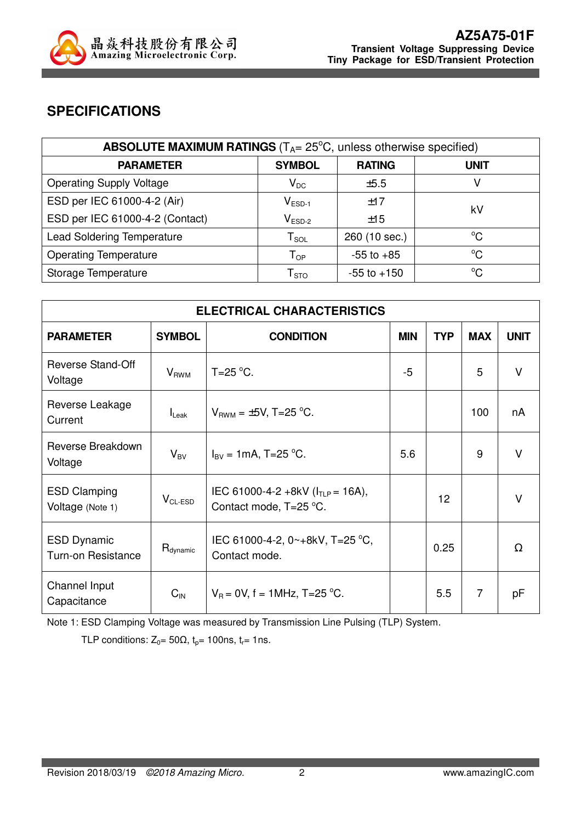

## **SPECIFICATIONS**

| <b>ABSOLUTE MAXIMUM RATINGS</b> ( $T_{A}$ = 25 $^{\circ}$ C, unless otherwise specified) |                     |                 |             |  |
|------------------------------------------------------------------------------------------|---------------------|-----------------|-------------|--|
| <b>PARAMETER</b>                                                                         | <b>SYMBOL</b>       | <b>RATING</b>   | <b>UNIT</b> |  |
| <b>Operating Supply Voltage</b>                                                          | $V_{DC}$            | ±5.5            |             |  |
| ESD per IEC 61000-4-2 (Air)                                                              | $V_{ESD-1}$         | ±17             | kV          |  |
| ESD per IEC 61000-4-2 (Contact)                                                          | $V_{ESD-2}$         | ±15             |             |  |
| <b>Lead Soldering Temperature</b>                                                        | ${\sf T}_{\sf SOL}$ | 260 (10 sec.)   | $^{\circ}C$ |  |
| <b>Operating Temperature</b>                                                             | $T_{OP}$            | $-55$ to $+85$  | °C          |  |
| Storage Temperature                                                                      | ${\sf T}_{\sf STO}$ | $-55$ to $+150$ | $^{\circ}C$ |  |

| <b>ELECTRICAL CHARACTERISTICS</b>               |                          |                                                                  |            |                 |                |             |
|-------------------------------------------------|--------------------------|------------------------------------------------------------------|------------|-----------------|----------------|-------------|
| <b>PARAMETER</b>                                | <b>SYMBOL</b>            | <b>CONDITION</b>                                                 | <b>MIN</b> | <b>TYP</b>      | <b>MAX</b>     | <b>UNIT</b> |
| Reverse Stand-Off<br>Voltage                    | <b>V</b> <sub>RWM</sub>  | $T=25$ °C.                                                       | $-5$       |                 | 5              | v           |
| Reverse Leakage<br>Current                      | $I_{\text{Leak}}$        | $V_{BWM} = \pm 5V$ , T=25 °C.                                    |            |                 | 100            | nA          |
| Reverse Breakdown<br>Voltage                    | $\mathsf{V}_\mathsf{BV}$ | $I_{\text{BV}} = 1 \text{mA}$ , T=25 °C.                         | 5.6        |                 | 9              | $\vee$      |
| <b>ESD Clamping</b><br>Voltage (Note 1)         | $V_{CL-ESD}$             | IEC 61000-4-2 +8kV ( $I_{TLP}$ = 16A),<br>Contact mode, T=25 °C. |            | 12 <sup>2</sup> |                | v           |
| <b>ESD Dynamic</b><br><b>Turn-on Resistance</b> | $R_{\text{dynamic}}$     | IEC 61000-4-2, 0~+8kV, T=25 °C,<br>Contact mode.                 |            | 0.25            |                | $\Omega$    |
| Channel Input<br>Capacitance                    | $C_{\text{IN}}$          | $V_B = 0V$ , f = 1MHz, T=25 °C.                                  |            | 5.5             | $\overline{7}$ | pF          |

Note 1: ESD Clamping Voltage was measured by Transmission Line Pulsing (TLP) System.

TLP conditions:  $Z_0 = 50\Omega$ ,  $t_0 = 100$ ns,  $t_r = 1$ ns.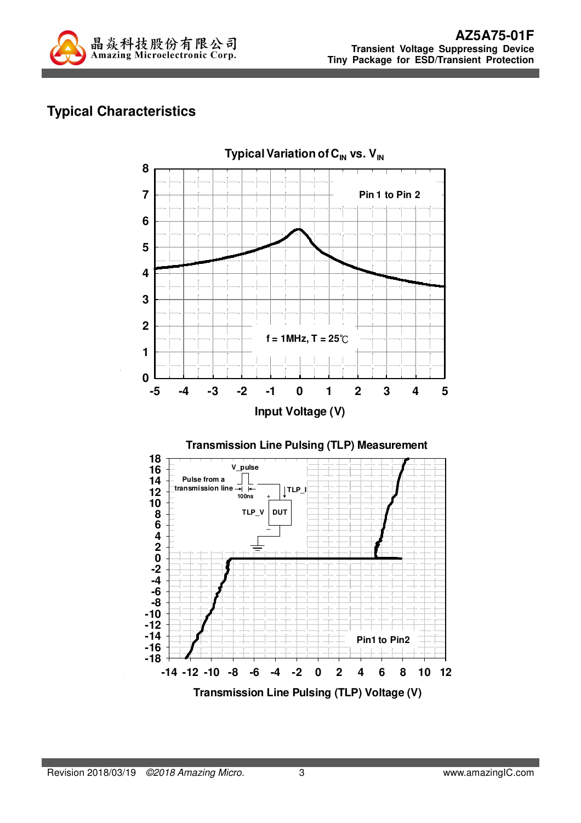

# **Typical Characteristics**

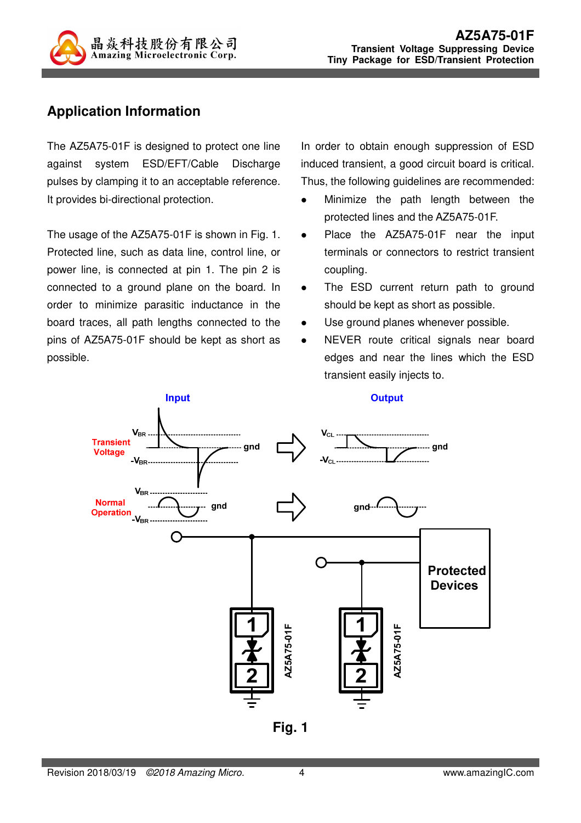

## **Application Information**

The AZ5A75-01F is designed to protect one line against system ESD/EFT/Cable Discharge pulses by clamping it to an acceptable reference. It provides bi-directional protection.

The usage of the AZ5A75-01F is shown in Fig. 1. Protected line, such as data line, control line, or power line, is connected at pin 1. The pin 2 is connected to a ground plane on the board. In order to minimize parasitic inductance in the board traces, all path lengths connected to the pins of AZ5A75-01F should be kept as short as possible.

In order to obtain enough suppression of ESD induced transient, a good circuit board is critical. Thus, the following guidelines are recommended:

- Minimize the path length between the protected lines and the AZ5A75-01F.
- Place the AZ5A75-01F near the input terminals or connectors to restrict transient coupling.
- The ESD current return path to ground should be kept as short as possible.
- Use ground planes whenever possible.
- NEVER route critical signals near board edges and near the lines which the ESD transient easily injects to.



**Fig. 1**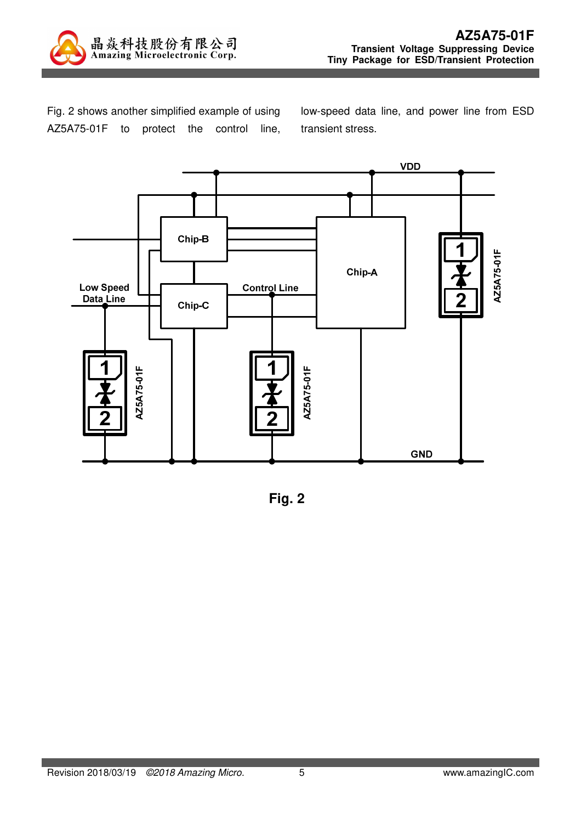

Fig. 2 shows another simplified example of using AZ5A75-01F to protect the control line,

low-speed data line, and power line from ESD transient stress.



**Fig. 2**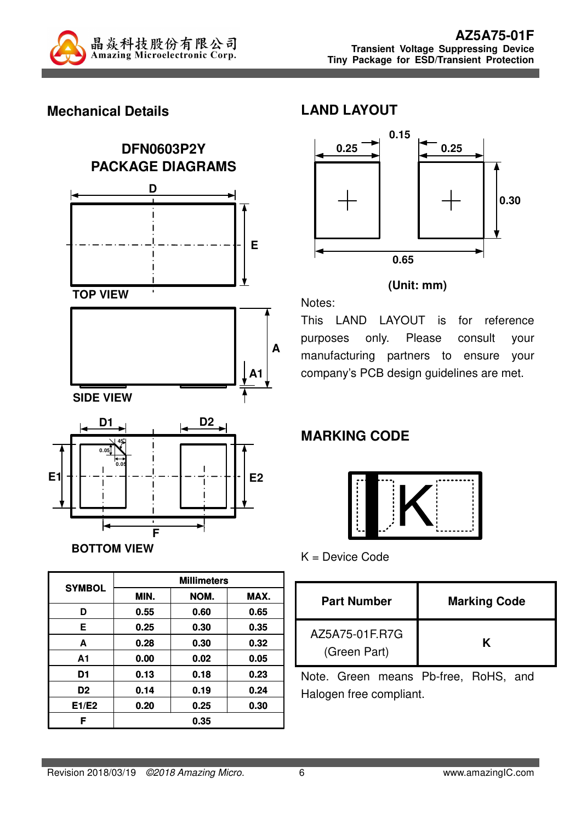

### **Mechanical Details**



| <b>SYMBOL</b>  | <b>Millimeters</b> |      |      |  |
|----------------|--------------------|------|------|--|
|                | MIN.               | NOM. | MAX. |  |
| D              | 0.55               | 0.60 | 0.65 |  |
| Е              | 0.25               | 0.30 | 0.35 |  |
| A              | 0.28               | 0.30 | 0.32 |  |
| A <sub>1</sub> | 0.00               | 0.02 | 0.05 |  |
| D1             | 0.13               | 0.18 | 0.23 |  |
| D <sub>2</sub> | 0.14               | 0.19 | 0.24 |  |
| E1/E2          | 0.20               | 0.25 | 0.30 |  |
| F              |                    | 0.35 |      |  |

#### **LAND LAYOUT**



#### **(Unit: mm)**

Notes:

This LAND LAYOUT is for reference purposes only. Please consult your manufacturing partners to ensure your company's PCB design guidelines are met.

# **MARKING CODE**



K = Device Code

| <b>Part Number</b>             | <b>Marking Code</b> |
|--------------------------------|---------------------|
| AZ5A75-01F.R7G<br>(Green Part) |                     |

Note. Green means Pb-free, RoHS, and Halogen free compliant.